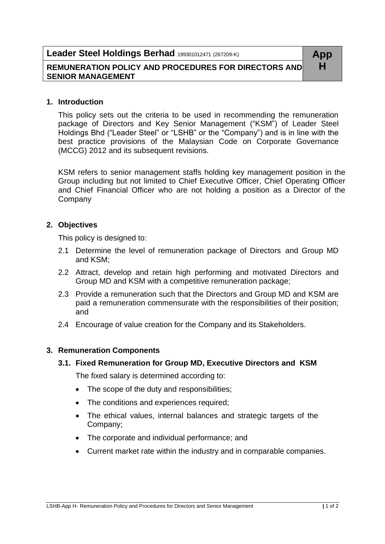# **Leader Steel Holdings Berhad** 199301012471 (267209-K) **App**

# **REMUNERATION POLICY AND PROCEDURES FOR DIRECTORS AND H SENIOR MANAGEMENT**

### **1. Introduction**

This policy sets out the criteria to be used in recommending the remuneration package of Directors and Key Senior Management ("KSM") of Leader Steel Holdings Bhd ("Leader Steel" or "LSHB" or the "Company") and is in line with the best practice provisions of the Malaysian Code on Corporate Governance (MCCG) 2012 and its subsequent revisions.

KSM refers to senior management staffs holding key management position in the Group including but not limited to Chief Executive Officer, Chief Operating Officer and Chief Financial Officer who are not holding a position as a Director of the Company

# **2. Objectives**

This policy is designed to:

- 2.1 Determine the level of remuneration package of Directors and Group MD and KSM;
- 2.2 Attract, develop and retain high performing and motivated Directors and Group MD and KSM with a competitive remuneration package;
- 2.3 Provide a remuneration such that the Directors and Group MD and KSM are paid a remuneration commensurate with the responsibilities of their position; and
- 2.4 Encourage of value creation for the Company and its Stakeholders.

# **3. Remuneration Components**

### **3.1. Fixed Remuneration for Group MD, Executive Directors and KSM**

The fixed salary is determined according to:

- The scope of the duty and responsibilities;
- The conditions and experiences required;
- The ethical values, internal balances and strategic targets of the Company;
- The corporate and individual performance; and
- Current market rate within the industry and in comparable companies.